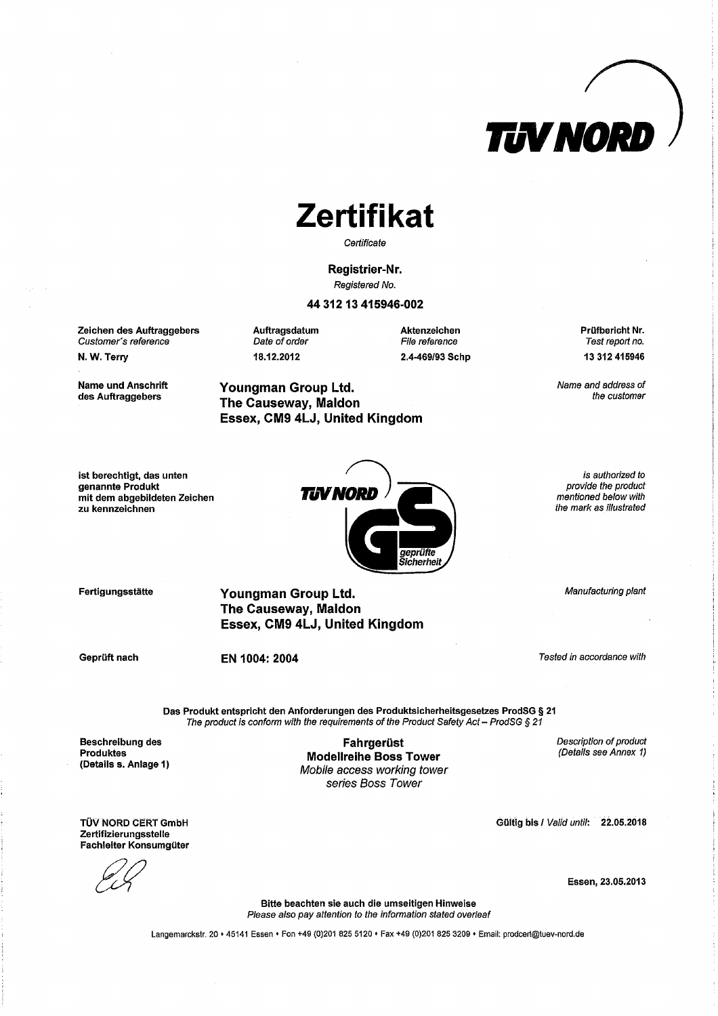

### **Zertifikat**

Certificate

Registrier-Nr. Registered No.

#### 44 312 13 415946-002

Zeichen des Auftraggebers Customer's reference

N.W. Terry

**Name und Anschrift** des Auftraggebers

Auftragsdatum Date of order 18.12.2012

Youngman Group Ltd.

The Causeway, Maldon

Essex, CM9 4LJ, United Kingdom

Aktenzeichen File reference 2.4-469/93 Schp Prüfbericht Nr.

Name and address of the customer

ist berechtigt, das unten genannte Produkt mit dem abgebildeten Zeichen zu kennzeichnen



Fertigungsstätte

Youngman Group Ltd. **The Causeway, Maldon** Essex, CM9 4LJ, United Kingdom

Geprüft nach

EN 1004: 2004

Tested in accordance with

Das Produkt entspricht den Anforderungen des Produktsicherheitsgesetzes ProdSG § 21 The product is conform with the requirements of the Product Safety Act - ProdSG § 21

**Beschreibung des Produktes** (Details s. Anlage 1)

Fahrgerüst **Modellreihe Boss Tower** Mobile access working tower series Boss Tower

Description of product (Details see Annex 1)

TÜV NORD CERT GmbH Zertifizierungsstelle Fachleiter Konsumgüter

Essen, 23.05.2013

Gültig bis / Valid until: 22.05.2018

Bitte beachten sie auch die umseitigen Hinweise Please also pay attention to the information stated overleaf

Langemarckstr. 20 + 45141 Essen + Fon +49 (0)201 825 5120 + Fax +49 (0)201 825 3209 + Email: prodcert@tuev-nord.de

Test report no. 13 312 415946

is authorized to provide the product

mentioned below with

the mark as illustrated

Manufacturing plant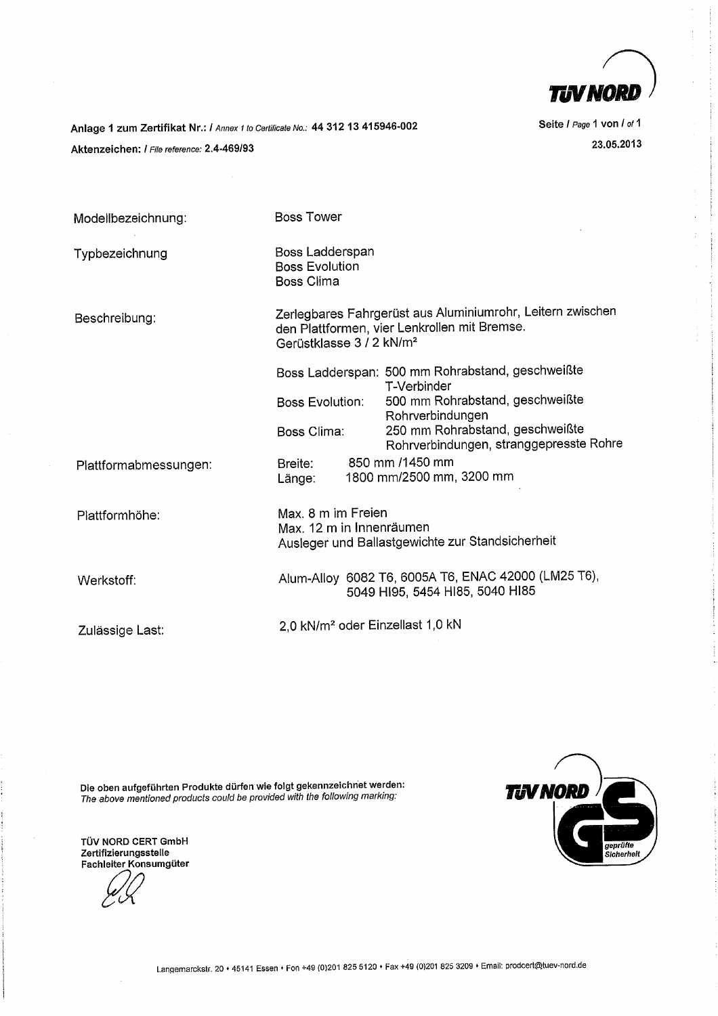

Anlage 1 zum Zertifikat Nr.: / Annex 1 to Certificate No.: 44 312 13 415946-002 Aktenzeichen: / File reference: 2.4-469/93

Seite / Page 1 von / of 1 23.05.2013

| Modellbezeichnung:    | <b>Boss Tower</b>                                                                                                                                  |  |                                                                            |
|-----------------------|----------------------------------------------------------------------------------------------------------------------------------------------------|--|----------------------------------------------------------------------------|
| Typbezeichnung        | Boss Ladderspan<br><b>Boss Evolution</b><br><b>Boss Clima</b>                                                                                      |  |                                                                            |
| Beschreibung:         | Zerlegbares Fahrgerüst aus Aluminiumrohr, Leitern zwischen<br>den Plattformen, vier Lenkrollen mit Bremse.<br>Gerüstklasse 3 / 2 kN/m <sup>2</sup> |  |                                                                            |
|                       | <b>Boss Evolution:</b>                                                                                                                             |  | Boss Ladderspan: 500 mm Rohrabstand, geschweißte<br>T-Verbinder            |
|                       |                                                                                                                                                    |  | 500 mm Rohrabstand, geschweißte<br>Rohrverbindungen                        |
|                       | Boss Clima:                                                                                                                                        |  | 250 mm Rohrabstand, geschweißte<br>Rohrverbindungen, stranggepresste Rohre |
| Plattformabmessungen: | Breite:<br>Länge:                                                                                                                                  |  | 850 mm /1450 mm<br>1800 mm/2500 mm, 3200 mm                                |
| Plattformhöhe:        | Max, 8 m im Freien<br>Max. 12 m in Innenräumen<br>Ausleger und Ballastgewichte zur Standsicherheit                                                 |  |                                                                            |
| Werkstoff:            | Alum-Alloy 6082 T6, 6005A T6, ENAC 42000 (LM25 T6),<br>5049 HI95, 5454 HI85, 5040 HI85                                                             |  |                                                                            |
| Zulässige Last:       | 2,0 kN/m <sup>2</sup> oder Einzellast 1,0 kN                                                                                                       |  |                                                                            |

Die oben aufgeführten Produkte dürfen wie folgt gekennzeichnet werden:<br>The above mentioned products could be provided with the following marking:



TÜV NORD CERT GmbH<br>Zertifizierungsstelle Fachleiter Konsumgüter

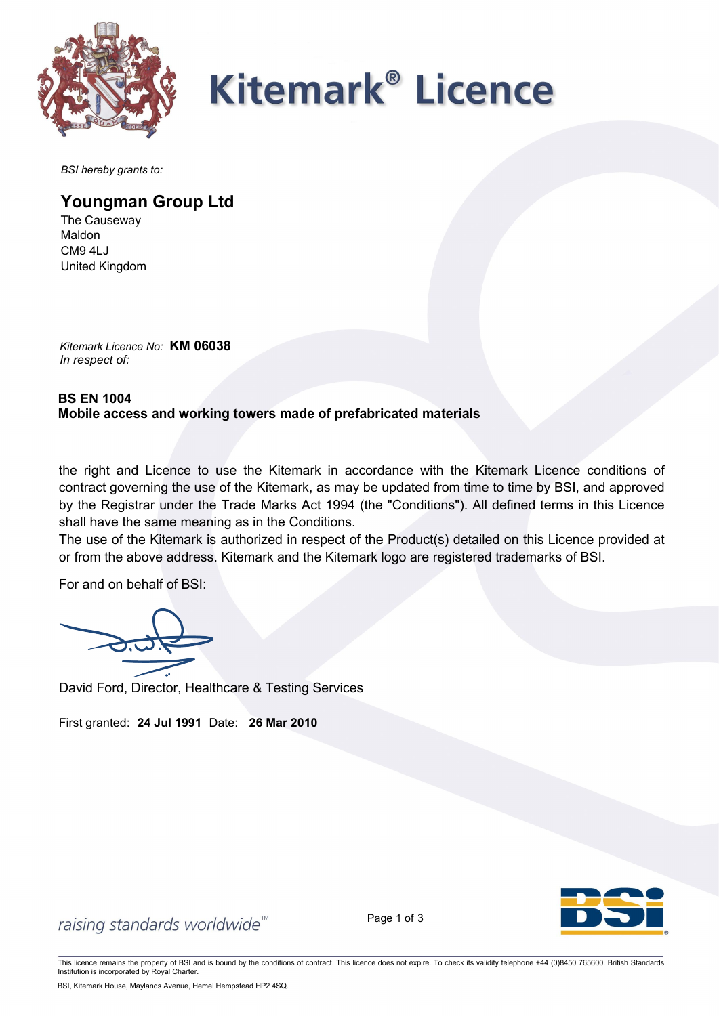

## **Kitemark<sup>®</sup> Licence**

*BSI hereby grants to:*

### **Youngman Group Ltd**

The Causeway Maldon CM9 4LJ United Kingdom

*Kitemark Licence No:* **KM 06038** *In respect of:*

### **BS EN 1004 Mobile access and working towers made of prefabricated materials**

the right and Licence to use the Kitemark in accordance with the Kitemark Licence conditions of contract governing the use of the Kitemark, as may be updated from time to time by BSI, and approved by the Registrar under the Trade Marks Act 1994 (the "Conditions"). All defined terms in this Licence shall have the same meaning as in the Conditions.

The use of the Kitemark is authorized in respect of the Product(s) detailed on this Licence provided at or from the above address. Kitemark and the Kitemark logo are registered trademarks of BSI.

For and on behalf of BSI:

David Ford, Director, Healthcare & Testing Services

First granted: **24 Jul 1991** Date: **26 Mar 2010**



raising standards worldwide<sup>™</sup>

Page 1 of 3

This licence remains the property of BSI and is bound by the conditions of contract. This licence does not expire. To check its validity telephone +44 (0)8450 765600. British Standards Institution is incorporated by Royal Charter.

BSI, Kitemark House, Maylands Avenue, Hemel Hempstead HP2 4SQ.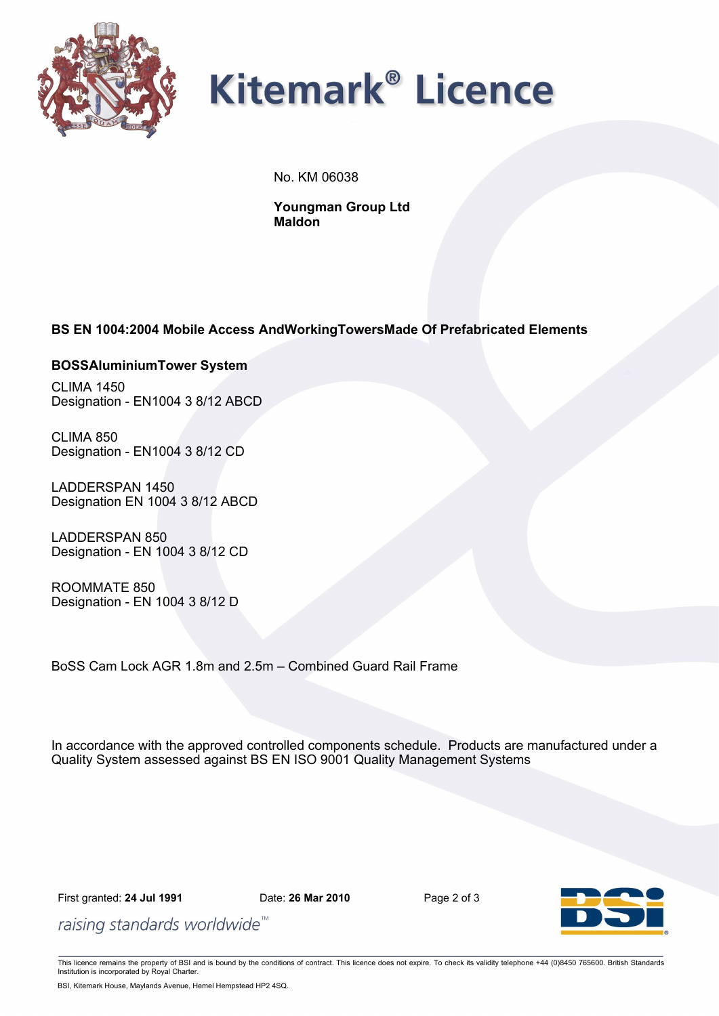

### **Kitemark<sup>®</sup> Licence**

No. KM 06038

**Youngman Group Ltd Maldon**

### **BS EN 1004:2004 Mobile Access AndWorkingTowersMade Of Prefabricated Elements**

#### **BOSSAluminiumTower System**

CLIMA 1450 Designation - EN1004 3 8/12 ABCD

CLIMA 850 Designation - EN1004 3 8/12 CD

LADDERSPAN 1450 Designation EN 1004 3 8/12 ABCD

LADDERSPAN 850 Designation - EN 1004 3 8/12 CD

ROOMMATE 850 Designation - EN 1004 3 8/12 D

BoSS Cam Lock AGR 1.8m and 2.5m – Combined Guard Rail Frame

In accordance with the approved controlled components schedule. Products are manufactured under a Quality System assessed against BS EN ISO 9001 Quality Management Systems

First granted: **24 Jul 1991** Date: **26 Mar 2010** Page 2 of 3



raising standards worldwide<sup>™</sup>

This licence remains the property of BSI and is bound by the conditions of contract. This licence does not expire. To check its validity telephone +44 (0)8450 765600. British Standards Institution is incorporated by Royal Charter.